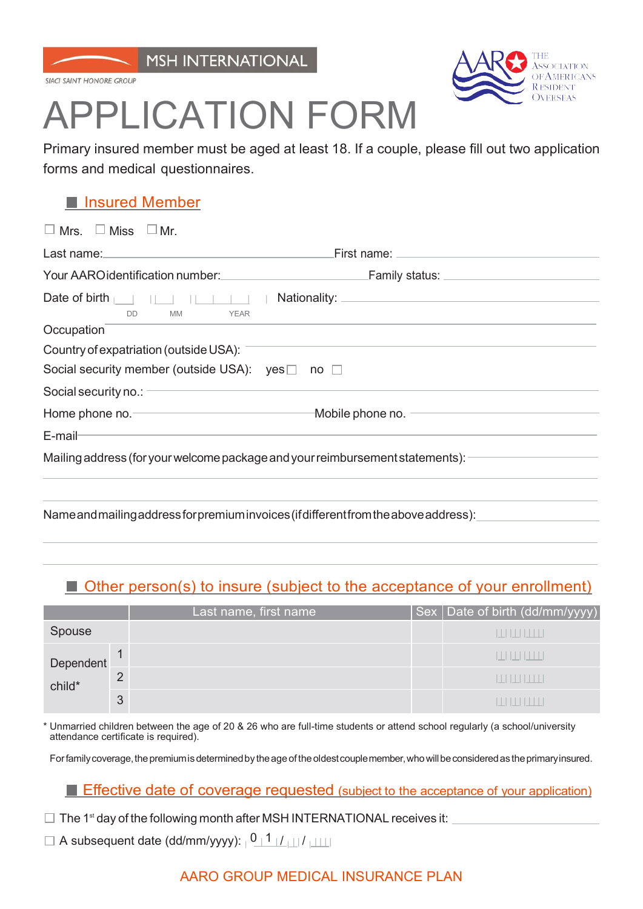

SIACL SAINT HONORE GROUP



# APPLICATION FORM

Primary insured member must be aged at least 18. If a couple, please fill out two application forms and medical questionnaires.

## **Insured Member**

| $\Box$ Mrs. $\Box$ Miss $\Box$ Mr.                                                                                                                                                                                             |                                                                                                                                                                                                                                      |
|--------------------------------------------------------------------------------------------------------------------------------------------------------------------------------------------------------------------------------|--------------------------------------------------------------------------------------------------------------------------------------------------------------------------------------------------------------------------------------|
| Last name: the contract of the contract of the contract of the contract of the contract of the contract of the contract of the contract of the contract of the contract of the contract of the contract of the contract of the | First name: <u>contract and the set of the set of the set of the set of the set of the set of the set of the set of the set of the set of the set of the set of the set of the set of the set of the set of the set of the set o</u> |
| Your AAROidentification number: Vour AAROidentification number:                                                                                                                                                                | Family status: ___________________                                                                                                                                                                                                   |
| Date of birth $\Box$<br><b>MM</b><br><b>YEAR</b><br><b>DD</b>                                                                                                                                                                  |                                                                                                                                                                                                                                      |
| Occupation                                                                                                                                                                                                                     |                                                                                                                                                                                                                                      |
| Country of expatriation (outside USA): -                                                                                                                                                                                       |                                                                                                                                                                                                                                      |
| Social security member (outside USA): $\mathsf{ves} \Box$ no $\Box$                                                                                                                                                            |                                                                                                                                                                                                                                      |
| Social security no.:                                                                                                                                                                                                           |                                                                                                                                                                                                                                      |
|                                                                                                                                                                                                                                | Home phone no. The Mobile phone no.                                                                                                                                                                                                  |
| <u> 1989 - Andrea Santa Andrea Andrea Andrea Andrea Andrea Andrea Andrea Andrea Andrea Andrea Andrea Andrea Andr</u><br>$E$ -mail-                                                                                             |                                                                                                                                                                                                                                      |
| Mailing address (for your welcome package and your reimbursement statements): $\equiv$                                                                                                                                         |                                                                                                                                                                                                                                      |
|                                                                                                                                                                                                                                |                                                                                                                                                                                                                                      |
| Name and mailing address for premium invoices (if different from the above address):                                                                                                                                           |                                                                                                                                                                                                                                      |

## ■ Other person(s) to insure (subject to the acceptance of your enrollment)

|                     |   | Last name, first name | Sex   Date of birth (dd/mm/yyyy) |
|---------------------|---|-----------------------|----------------------------------|
| Spouse              |   |                       |                                  |
| Dependent<br>child* |   |                       | шшшш                             |
|                     | 2 |                       |                                  |
|                     | 3 |                       |                                  |

Unmarried children between the age of 20 & 26 who are full-time students or attend school regularly (a school/university attendance certificate is required).

For family coverage, the premium is determined by the age of the oldest couple member, who will be considered as the primary insured.

### **Effective date of coverage requested** (subject to the acceptance of your application)

- $\Box$  The 1<sup>st</sup> day of the following month after MSH INTERNATIONAL receives it:
- $\Box$  A subsequent date (dd/mm/yyyy):  $\Box$   $\Box$   $\Box$   $\Box$